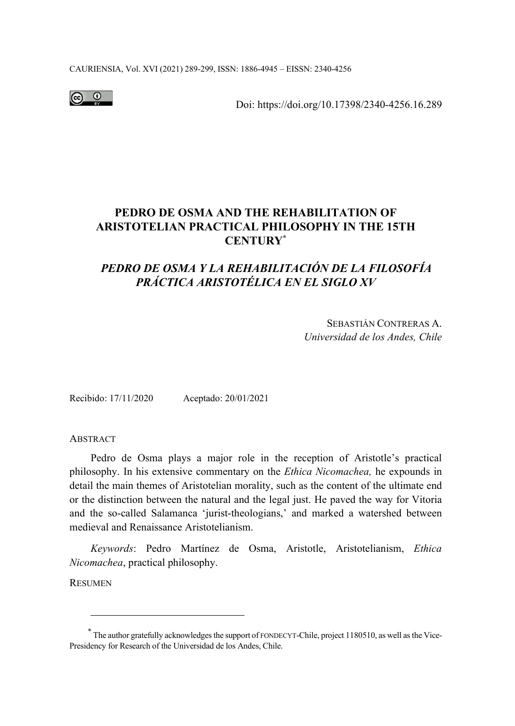CAURIENSIA, Vol. XVI (2021) 289-299, ISSN: 1886-4945 – EISSN: 2340-4256



Doi: https://doi.org/10.17398/2340-4256.16.289

## **PEDRO DE OSMA AND THE REHABILITATION OF ARISTOTELIAN PRACTICAL PHILOSOPHY IN THE 15TH CENTURY\***

# *PEDRO DE OSMA Y LA REHABILITACIÓN DE LA FILOSOFÍA PRÁCTICA ARISTOTÉLICA EN EL SIGLO XV*

SEBASTIÁN CONTRERAS A. *Universidad de los Andes, Chile* 

Recibido: 17/11/2020 Aceptado: 20/01/2021

**ABSTRACT** 

Pedro de Osma plays a major role in the reception of Aristotle's practical philosophy. In his extensive commentary on the *Ethica Nicomachea,* he expounds in detail the main themes of Aristotelian morality, such as the content of the ultimate end or the distinction between the natural and the legal just. He paved the way for Vitoria and the so-called Salamanca 'jurist-theologians,' and marked a watershed between medieval and Renaissance Aristotelianism.

*Keywords*: Pedro Martínez de Osma, Aristotle, Aristotelianism, *Ethica Nicomachea*, practical philosophy.

RESUMEN

<sup>\*</sup> The author gratefully acknowledges the support of FONDECYT-Chile, project 1180510, as well as the Vice-Presidency for Research of the Universidad de los Andes, Chile.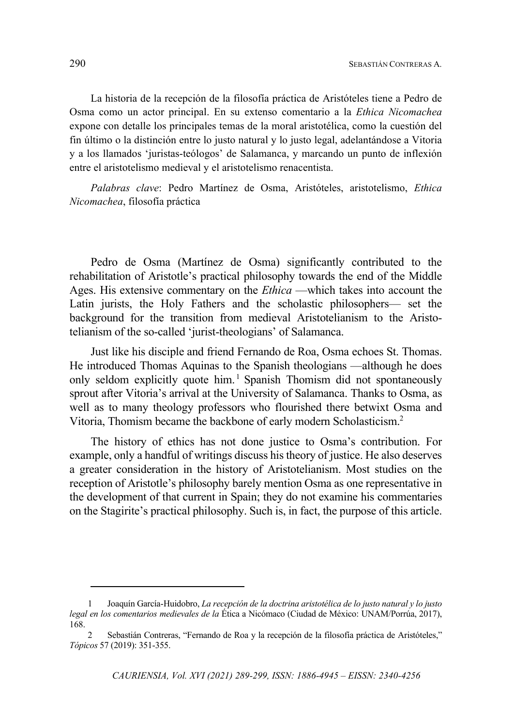La historia de la recepción de la filosofía práctica de Aristóteles tiene a Pedro de Osma como un actor principal. En su extenso comentario a la *Ethica Nicomachea*  expone con detalle los principales temas de la moral aristotélica, como la cuestión del fin último o la distinción entre lo justo natural y lo justo legal, adelantándose a Vitoria y a los llamados 'juristas-teólogos' de Salamanca, y marcando un punto de inflexión entre el aristotelismo medieval y el aristotelismo renacentista.

*Palabras clave*: Pedro Martínez de Osma, Aristóteles, aristotelismo, *Ethica Nicomachea*, filosofía práctica

Pedro de Osma (Martínez de Osma) significantly contributed to the rehabilitation of Aristotle's practical philosophy towards the end of the Middle Ages. His extensive commentary on the *Ethica* —which takes into account the Latin jurists, the Holy Fathers and the scholastic philosophers— set the background for the transition from medieval Aristotelianism to the Aristotelianism of the so-called 'jurist-theologians' of Salamanca.

Just like his disciple and friend Fernando de Roa, Osma echoes St. Thomas. He introduced Thomas Aquinas to the Spanish theologians —although he does only seldom explicitly quote him.<sup>1</sup> Spanish Thomism did not spontaneously sprout after Vitoria's arrival at the University of Salamanca. Thanks to Osma, as well as to many theology professors who flourished there betwixt Osma and Vitoria, Thomism became the backbone of early modern Scholasticism.<sup>2</sup>

The history of ethics has not done justice to Osma's contribution. For example, only a handful of writings discuss his theory of justice. He also deserves a greater consideration in the history of Aristotelianism. Most studies on the reception of Aristotle's philosophy barely mention Osma as one representative in the development of that current in Spain; they do not examine his commentaries on the Stagirite's practical philosophy. Such is, in fact, the purpose of this article.

<sup>1</sup> Joaquín García-Huidobro, *La recepción de la doctrina aristotélica de lo justo natural y lo justo legal en los comentarios medievales de la* Ética a Nicómaco (Ciudad de México: UNAM/Porrúa, 2017), 168.

<sup>2</sup> Sebastián Contreras, "Fernando de Roa y la recepción de la filosofía práctica de Aristóteles," *Tópicos* 57 (2019): 351-355.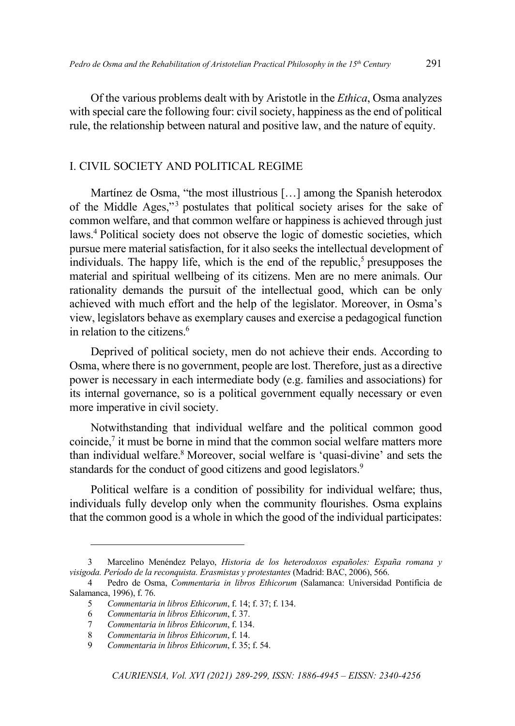Of the various problems dealt with by Aristotle in the *Ethica*, Osma analyzes with special care the following four: civil society, happiness as the end of political rule, the relationship between natural and positive law, and the nature of equity.

## I. CIVIL SOCIETY AND POLITICAL REGIME

Martínez de Osma, "the most illustrious […] among the Spanish heterodox of the Middle Ages,"<sup>3</sup> postulates that political society arises for the sake of common welfare, and that common welfare or happiness is achieved through just laws.<sup>4</sup> Political society does not observe the logic of domestic societies, which pursue mere material satisfaction, for it also seeks the intellectual development of individuals. The happy life, which is the end of the republic,<sup>5</sup> presupposes the material and spiritual wellbeing of its citizens. Men are no mere animals. Our rationality demands the pursuit of the intellectual good, which can be only achieved with much effort and the help of the legislator. Moreover, in Osma's view, legislators behave as exemplary causes and exercise a pedagogical function in relation to the citizens. $6$ 

Deprived of political society, men do not achieve their ends. According to Osma, where there is no government, people are lost. Therefore, just as a directive power is necessary in each intermediate body (e.g. families and associations) for its internal governance, so is a political government equally necessary or even more imperative in civil society.

Notwithstanding that individual welfare and the political common good coincide, $\frac{7}{1}$  it must be borne in mind that the common social welfare matters more than individual welfare.<sup>8</sup> Moreover, social welfare is 'quasi-divine' and sets the standards for the conduct of good citizens and good legislators.<sup>9</sup>

Political welfare is a condition of possibility for individual welfare; thus, individuals fully develop only when the community flourishes. Osma explains that the common good is a whole in which the good of the individual participates:

<sup>3</sup> Marcelino Menéndez Pelayo, *Historia de los heterodoxos españoles: España romana y visigoda. Período de la reconquista. Erasmistas y protestantes* (Madrid: BAC, 2006), 566.

<sup>4</sup> Pedro de Osma, *Commentaria in libros Ethicorum* (Salamanca: Universidad Pontificia de Salamanca, 1996), f. 76.

<sup>5</sup> *Commentaria in libros Ethicorum*, f. 14; f. 37; f. 134.

<sup>6</sup> *Commentaria in libros Ethicorum*, f. 37.

<sup>7</sup> *Commentaria in libros Ethicorum*, f. 134.

<sup>8</sup> *Commentaria in libros Ethicorum*, f. 14.

<sup>9</sup> *Commentaria in libros Ethicorum*, f. 35; f. 54.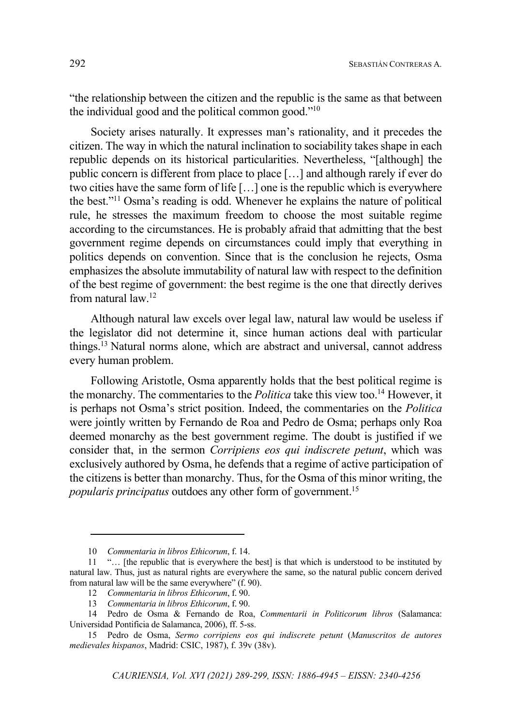"the relationship between the citizen and the republic is the same as that between the individual good and the political common good."<sup>10</sup>

Society arises naturally. It expresses man's rationality, and it precedes the citizen. The way in which the natural inclination to sociability takes shape in each republic depends on its historical particularities. Nevertheless, "[although] the public concern is different from place to place […] and although rarely if ever do two cities have the same form of life […] one is the republic which is everywhere the best."<sup>11</sup> Osma's reading is odd. Whenever he explains the nature of political rule, he stresses the maximum freedom to choose the most suitable regime according to the circumstances. He is probably afraid that admitting that the best government regime depends on circumstances could imply that everything in politics depends on convention. Since that is the conclusion he rejects, Osma emphasizes the absolute immutability of natural law with respect to the definition of the best regime of government: the best regime is the one that directly derives from natural law.<sup>12</sup>

Although natural law excels over legal law, natural law would be useless if the legislator did not determine it, since human actions deal with particular things.<sup>13</sup> Natural norms alone, which are abstract and universal, cannot address every human problem.

Following Aristotle, Osma apparently holds that the best political regime is the monarchy. The commentaries to the *Politica* take this view too.<sup>14</sup> However, it is perhaps not Osma's strict position. Indeed, the commentaries on the *Politica* were jointly written by Fernando de Roa and Pedro de Osma; perhaps only Roa deemed monarchy as the best government regime. The doubt is justified if we consider that, in the sermon *Corripiens eos qui indiscrete petunt*, which was exclusively authored by Osma, he defends that a regime of active participation of the citizens is better than monarchy. Thus, for the Osma of this minor writing, the *popularis principatus* outdoes any other form of government.<sup>15</sup>

<sup>10</sup> *Commentaria in libros Ethicorum*, f. 14.

<sup>11 &</sup>quot;… [the republic that is everywhere the best] is that which is understood to be instituted by natural law. Thus, just as natural rights are everywhere the same, so the natural public concern derived from natural law will be the same everywhere" (f. 90).

<sup>12</sup> *Commentaria in libros Ethicorum*, f. 90.

<sup>13</sup> *Commentaria in libros Ethicorum*, f. 90.

<sup>14</sup> Pedro de Osma & Fernando de Roa, *Commentarii in Politicorum libros* (Salamanca: Universidad Pontificia de Salamanca, 2006), ff. 5-ss.

<sup>15</sup> Pedro de Osma, *Sermo corripiens eos qui indiscrete petunt* (*Manuscritos de autores medievales hispanos*, Madrid: CSIC, 1987), f. 39v (38v).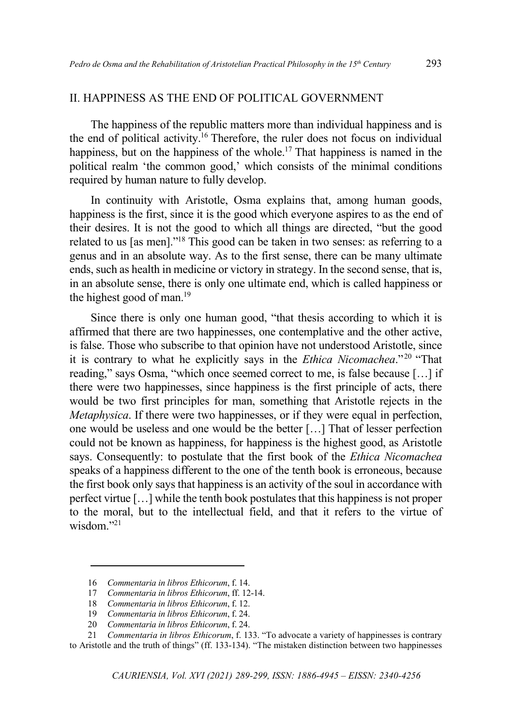#### II. HAPPINESS AS THE END OF POLITICAL GOVERNMENT

The happiness of the republic matters more than individual happiness and is the end of political activity.<sup>16</sup> Therefore, the ruler does not focus on individual happiness, but on the happiness of the whole.<sup>17</sup> That happiness is named in the political realm 'the common good,' which consists of the minimal conditions required by human nature to fully develop.

In continuity with Aristotle, Osma explains that, among human goods, happiness is the first, since it is the good which everyone aspires to as the end of their desires. It is not the good to which all things are directed, "but the good related to us [as men]."<sup>18</sup> This good can be taken in two senses: as referring to a genus and in an absolute way. As to the first sense, there can be many ultimate ends, such as health in medicine or victory in strategy. In the second sense, that is, in an absolute sense, there is only one ultimate end, which is called happiness or the highest good of man.<sup>19</sup>

Since there is only one human good, "that thesis according to which it is affirmed that there are two happinesses, one contemplative and the other active, is false. Those who subscribe to that opinion have not understood Aristotle, since it is contrary to what he explicitly says in the *Ethica Nicomachea*."<sup>20</sup> "That reading," says Osma, "which once seemed correct to me, is false because […] if there were two happinesses, since happiness is the first principle of acts, there would be two first principles for man, something that Aristotle rejects in the *Metaphysica*. If there were two happinesses, or if they were equal in perfection, one would be useless and one would be the better […] That of lesser perfection could not be known as happiness, for happiness is the highest good, as Aristotle says. Consequently: to postulate that the first book of the *Ethica Nicomachea* speaks of a happiness different to the one of the tenth book is erroneous, because the first book only says that happiness is an activity of the soul in accordance with perfect virtue […] while the tenth book postulates that this happiness is not proper to the moral, but to the intellectual field, and that it refers to the virtue of wisdom."<sup>21</sup>

<sup>16</sup> *Commentaria in libros Ethicorum*, f. 14.

<sup>17</sup> *Commentaria in libros Ethicorum*, ff. 12-14.

<sup>18</sup> *Commentaria in libros Ethicorum*, f. 12.

<sup>19</sup> *Commentaria in libros Ethicorum*, f. 24.

<sup>20</sup> *Commentaria in libros Ethicorum*, f. 24.

<sup>21</sup> *Commentaria in libros Ethicorum*, f. 133. "To advocate a variety of happinesses is contrary to Aristotle and the truth of things" (ff. 133-134). "The mistaken distinction between two happinesses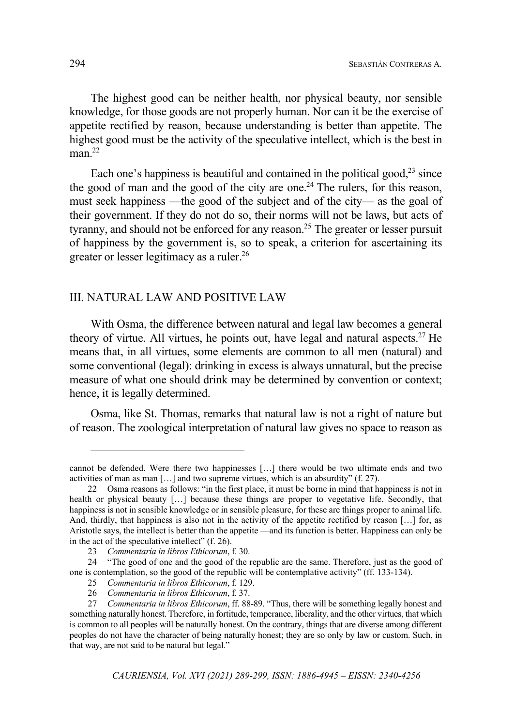The highest good can be neither health, nor physical beauty, nor sensible knowledge, for those goods are not properly human. Nor can it be the exercise of appetite rectified by reason, because understanding is better than appetite. The highest good must be the activity of the speculative intellect, which is the best in  $man<sup>22</sup>$ 

Each one's happiness is beautiful and contained in the political good, $^{23}$  since the good of man and the good of the city are one.<sup>24</sup> The rulers, for this reason, must seek happiness —the good of the subject and of the city— as the goal of their government. If they do not do so, their norms will not be laws, but acts of tyranny, and should not be enforced for any reason.<sup>25</sup> The greater or lesser pursuit of happiness by the government is, so to speak, a criterion for ascertaining its greater or lesser legitimacy as a ruler.<sup>26</sup>

#### III. NATURAL LAW AND POSITIVE LAW

With Osma, the difference between natural and legal law becomes a general theory of virtue. All virtues, he points out, have legal and natural aspects.<sup>27</sup> He means that, in all virtues, some elements are common to all men (natural) and some conventional (legal): drinking in excess is always unnatural, but the precise measure of what one should drink may be determined by convention or context; hence, it is legally determined.

Osma, like St. Thomas, remarks that natural law is not a right of nature but of reason. The zoological interpretation of natural law gives no space to reason as

cannot be defended. Were there two happinesses […] there would be two ultimate ends and two activities of man as man […] and two supreme virtues, which is an absurdity" (f. 27).

<sup>22</sup> Osma reasons as follows: "in the first place, it must be borne in mind that happiness is not in health or physical beauty […] because these things are proper to vegetative life. Secondly, that happiness is not in sensible knowledge or in sensible pleasure, for these are things proper to animal life. And, thirdly, that happiness is also not in the activity of the appetite rectified by reason [...] for, as Aristotle says, the intellect is better than the appetite —and its function is better. Happiness can only be in the act of the speculative intellect" (f. 26).

<sup>23</sup> *Commentaria in libros Ethicorum*, f. 30.

<sup>24 &</sup>quot;The good of one and the good of the republic are the same. Therefore, just as the good of one is contemplation, so the good of the republic will be contemplative activity" (ff. 133-134).

<sup>25</sup> *Commentaria in libros Ethicorum*, f. 129.

<sup>26</sup> *Commentaria in libros Ethicorum*, f. 37.

<sup>27</sup> *Commentaria in libros Ethicorum*, ff. 88-89. "Thus, there will be something legally honest and something naturally honest. Therefore, in fortitude, temperance, liberality, and the other virtues, that which is common to all peoples will be naturally honest. On the contrary, things that are diverse among different peoples do not have the character of being naturally honest; they are so only by law or custom. Such, in that way, are not said to be natural but legal."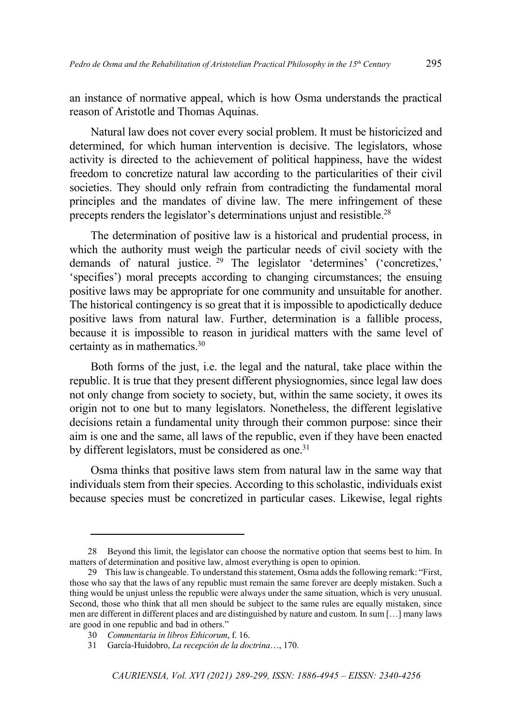an instance of normative appeal, which is how Osma understands the practical reason of Aristotle and Thomas Aquinas.

Natural law does not cover every social problem. It must be historicized and determined, for which human intervention is decisive. The legislators, whose activity is directed to the achievement of political happiness, have the widest freedom to concretize natural law according to the particularities of their civil societies. They should only refrain from contradicting the fundamental moral principles and the mandates of divine law. The mere infringement of these precepts renders the legislator's determinations unjust and resistible.<sup>28</sup>

The determination of positive law is a historical and prudential process, in which the authority must weigh the particular needs of civil society with the demands of natural justice. <sup>29</sup> The legislator 'determines' ('concretizes,' 'specifies') moral precepts according to changing circumstances; the ensuing positive laws may be appropriate for one community and unsuitable for another. The historical contingency is so great that it is impossible to apodictically deduce positive laws from natural law. Further, determination is a fallible process, because it is impossible to reason in juridical matters with the same level of certainty as in mathematics.<sup>30</sup>

Both forms of the just, i.e. the legal and the natural, take place within the republic. It is true that they present different physiognomies, since legal law does not only change from society to society, but, within the same society, it owes its origin not to one but to many legislators. Nonetheless, the different legislative decisions retain a fundamental unity through their common purpose: since their aim is one and the same, all laws of the republic, even if they have been enacted by different legislators, must be considered as one.<sup>31</sup>

Osma thinks that positive laws stem from natural law in the same way that individuals stem from their species. According to this scholastic, individuals exist because species must be concretized in particular cases. Likewise, legal rights

<sup>28</sup> Beyond this limit, the legislator can choose the normative option that seems best to him. In matters of determination and positive law, almost everything is open to opinion.

<sup>29</sup> This law is changeable. To understand this statement, Osma adds the following remark: "First, those who say that the laws of any republic must remain the same forever are deeply mistaken. Such a thing would be unjust unless the republic were always under the same situation, which is very unusual. Second, those who think that all men should be subject to the same rules are equally mistaken, since men are different in different places and are distinguished by nature and custom. In sum […] many laws are good in one republic and bad in others."

<sup>30</sup> *Commentaria in libros Ethicorum*, f. 16.

<sup>31</sup> García-Huidobro, *La recepción de la doctrina*…, 170.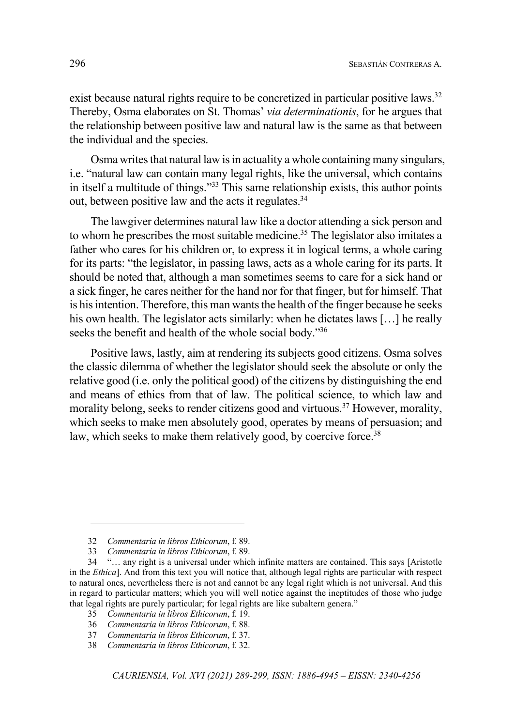exist because natural rights require to be concretized in particular positive laws.<sup>32</sup> Thereby, Osma elaborates on St. Thomas' *via determinationis*, for he argues that the relationship between positive law and natural law is the same as that between the individual and the species.

Osma writes that natural law is in actuality a whole containing many singulars, i.e. "natural law can contain many legal rights, like the universal, which contains in itself a multitude of things."<sup>33</sup> This same relationship exists, this author points out, between positive law and the acts it regulates.<sup>34</sup>

The lawgiver determines natural law like a doctor attending a sick person and to whom he prescribes the most suitable medicine.<sup>35</sup> The legislator also imitates a father who cares for his children or, to express it in logical terms, a whole caring for its parts: "the legislator, in passing laws, acts as a whole caring for its parts. It should be noted that, although a man sometimes seems to care for a sick hand or a sick finger, he cares neither for the hand nor for that finger, but for himself. That is his intention. Therefore, this man wants the health of the finger because he seeks his own health. The legislator acts similarly: when he dictates laws [...] he really seeks the benefit and health of the whole social body."<sup>36</sup>

Positive laws, lastly, aim at rendering its subjects good citizens. Osma solves the classic dilemma of whether the legislator should seek the absolute or only the relative good (i.e. only the political good) of the citizens by distinguishing the end and means of ethics from that of law. The political science, to which law and morality belong, seeks to render citizens good and virtuous.<sup>37</sup> However, morality, which seeks to make men absolutely good, operates by means of persuasion; and law, which seeks to make them relatively good, by coercive force.<sup>38</sup>

<sup>32</sup> *Commentaria in libros Ethicorum*, f. 89.

<sup>33</sup> *Commentaria in libros Ethicorum*, f. 89.

<sup>34 &</sup>quot;… any right is a universal under which infinite matters are contained. This says [Aristotle in the *Ethica*]. And from this text you will notice that, although legal rights are particular with respect to natural ones, nevertheless there is not and cannot be any legal right which is not universal. And this in regard to particular matters; which you will well notice against the ineptitudes of those who judge that legal rights are purely particular; for legal rights are like subaltern genera."

<sup>35</sup> *Commentaria in libros Ethicorum*, f. 19.

<sup>36</sup> *Commentaria in libros Ethicorum*, f. 88.

<sup>37</sup> *Commentaria in libros Ethicorum*, f. 37.

<sup>38</sup> *Commentaria in libros Ethicorum*, f. 32.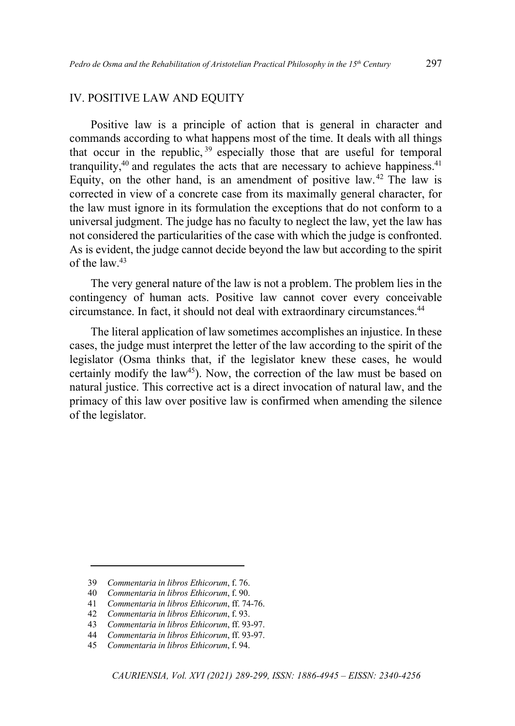## IV. POSITIVE LAW AND EQUITY

Positive law is a principle of action that is general in character and commands according to what happens most of the time. It deals with all things that occur in the republic,  $39$  especially those that are useful for temporal tranquility, $40$  and regulates the acts that are necessary to achieve happiness.  $41$ Equity, on the other hand, is an amendment of positive law. <sup>42</sup> The law is corrected in view of a concrete case from its maximally general character, for the law must ignore in its formulation the exceptions that do not conform to a universal judgment. The judge has no faculty to neglect the law, yet the law has not considered the particularities of the case with which the judge is confronted. As is evident, the judge cannot decide beyond the law but according to the spirit of the law.<sup>43</sup>

The very general nature of the law is not a problem. The problem lies in the contingency of human acts. Positive law cannot cover every conceivable circumstance. In fact, it should not deal with extraordinary circumstances.<sup>44</sup>

The literal application of law sometimes accomplishes an injustice. In these cases, the judge must interpret the letter of the law according to the spirit of the legislator (Osma thinks that, if the legislator knew these cases, he would certainly modify the law<sup>45</sup>). Now, the correction of the law must be based on natural justice. This corrective act is a direct invocation of natural law, and the primacy of this law over positive law is confirmed when amending the silence of the legislator.

<sup>39</sup> *Commentaria in libros Ethicorum*, f. 76.

<sup>40</sup> *Commentaria in libros Ethicorum*, f. 90.

<sup>41</sup> *Commentaria in libros Ethicorum*, ff. 74-76.

<sup>42</sup> *Commentaria in libros Ethicorum*, f. 93.

<sup>43</sup> *Commentaria in libros Ethicorum*, ff. 93-97.

<sup>44</sup> *Commentaria in libros Ethicorum*, ff. 93-97.

<sup>45</sup> *Commentaria in libros Ethicorum*, f. 94.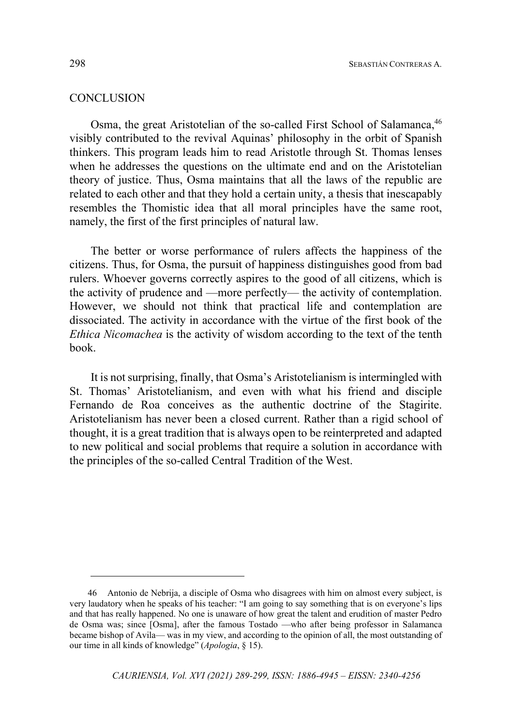## **CONCLUSION**

Osma, the great Aristotelian of the so-called First School of Salamanca, <sup>46</sup> visibly contributed to the revival Aquinas' philosophy in the orbit of Spanish thinkers. This program leads him to read Aristotle through St. Thomas lenses when he addresses the questions on the ultimate end and on the Aristotelian theory of justice. Thus, Osma maintains that all the laws of the republic are related to each other and that they hold a certain unity, a thesis that inescapably resembles the Thomistic idea that all moral principles have the same root, namely, the first of the first principles of natural law.

The better or worse performance of rulers affects the happiness of the citizens. Thus, for Osma, the pursuit of happiness distinguishes good from bad rulers. Whoever governs correctly aspires to the good of all citizens, which is the activity of prudence and —more perfectly— the activity of contemplation. However, we should not think that practical life and contemplation are dissociated. The activity in accordance with the virtue of the first book of the *Ethica Nicomachea* is the activity of wisdom according to the text of the tenth book.

It is not surprising, finally, that Osma's Aristotelianism is intermingled with St. Thomas' Aristotelianism, and even with what his friend and disciple Fernando de Roa conceives as the authentic doctrine of the Stagirite. Aristotelianism has never been a closed current. Rather than a rigid school of thought, it is a great tradition that is always open to be reinterpreted and adapted to new political and social problems that require a solution in accordance with the principles of the so-called Central Tradition of the West.

<sup>46</sup> Antonio de Nebrija, a disciple of Osma who disagrees with him on almost every subject, is very laudatory when he speaks of his teacher: "I am going to say something that is on everyone's lips and that has really happened. No one is unaware of how great the talent and erudition of master Pedro de Osma was; since [Osma], after the famous Tostado —who after being professor in Salamanca became bishop of Avila— was in my view, and according to the opinion of all, the most outstanding of our time in all kinds of knowledge" (*Apologia*, § 15).